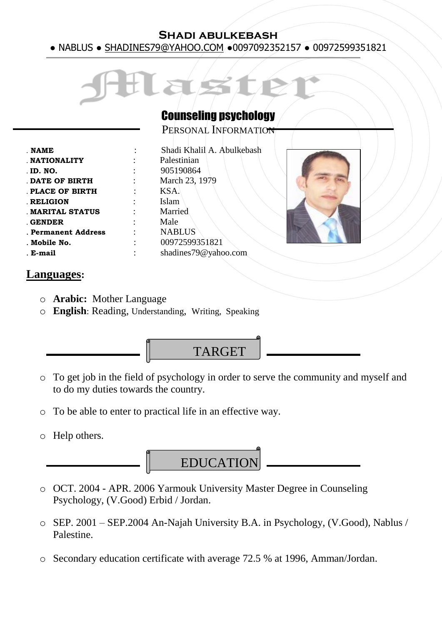#### **Shadi abulkebash**  ● NABLUS ● SHADINES79@YAHOO.COM ●0097092352157 ● 00972599351821



### Counseling psychology

PERSONAL INFORMATION

| <b>NAME</b>         |
|---------------------|
| <b>NATIONALITY</b>  |
| . ID. NO.           |
| DATE OF BIRTH       |
| PLACE OF BIRTH      |
|                     |
| <b>RELIGION</b>     |
| MARITAL STATUS      |
| GENDER              |
| . Permanent Address |
| . Mobile No.        |
| . E-mail            |
|                     |

: Shadi Khalil A. Abulkebash : **Palestinian** . **ID. NO.** :905190864 **: March 23, 1979** . **PLACE OF BIRTH** : KSA. Islam **Married** Male . **Permanent Address** : NABLUS . **Mobile No.** : 00972599351821 . **E-mail** : shadines79@yahoo.com



#### **Languages:**

- o **Arabic:** Mother Language
- o **English**: Reading, Understanding, Writing, Speaking



- o To get job in the field of psychology in order to serve the community and myself and to do my duties towards the country.
- o To be able to enter to practical life in an effective way.
- o Help others.



- o OCT. 2004 APR. 2006 Yarmouk University Master Degree in Counseling Psychology, (V.Good) Erbid / Jordan.
- o SEP. 2001 SEP.2004 An-Najah University B.A. in Psychology, (V.Good), Nablus / Palestine.
- o Secondary education certificate with average 72.5 % at 1996, Amman/Jordan.